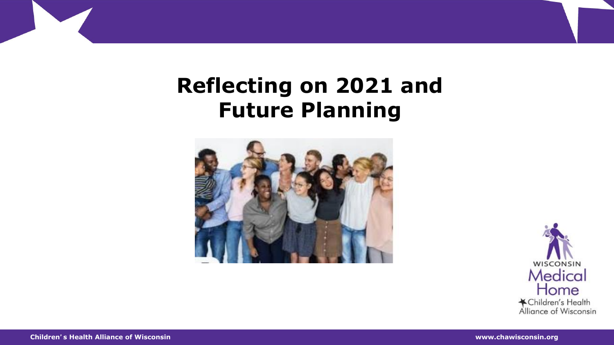### **Reflecting on 2021 and Future Planning**



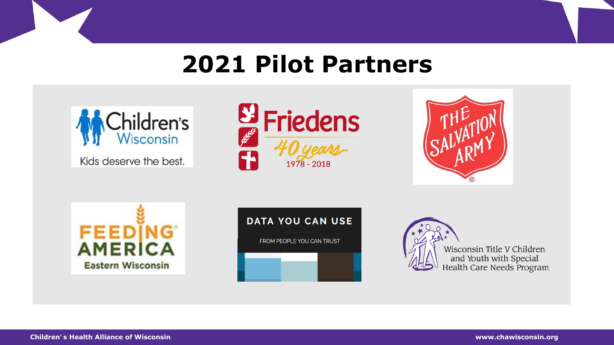## **2021 Pilot Partners**



Kids deserve the best.











Wisconsin Title V Children and Youth with Special<br>Health Care Needs Program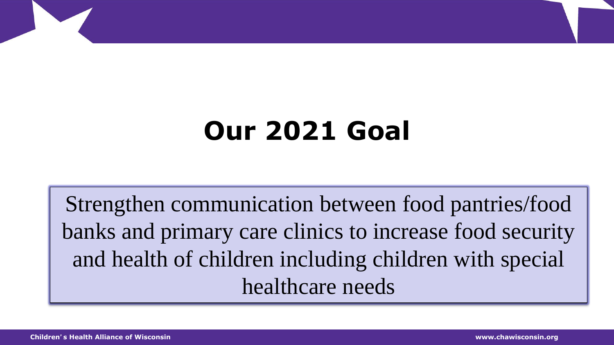# **Our 2021 Goal**

Strengthen communication between food pantries/food banks and primary care clinics to increase food security and health of children including children with special healthcare needs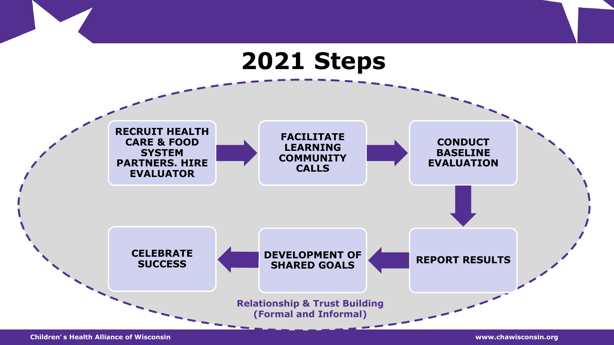## **2021 Steps**



**Children**'**s Health Alliance of Wisconsin www.chawisconsin.org**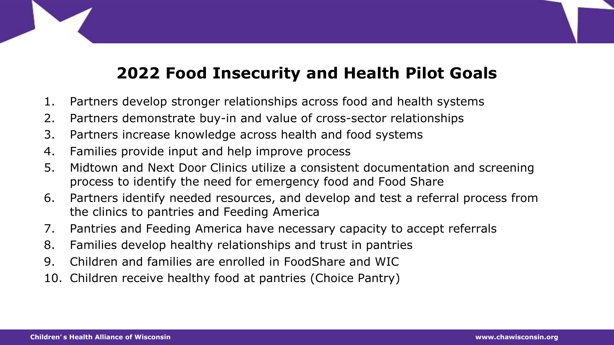#### **2022 Food Insecurity and Health Pilot Goals**

- 1. Partners develop stronger relationships across food and health systems
- 2. Partners demonstrate buy-in and value of cross-sector relationships
- 3. Partners increase knowledge across health and food systems
- 4. Families provide input and help improve process
- 5. Midtown and Next Door Clinics utilize a consistent documentation and screening process to identify the need for emergency food and Food Share
- 6. Partners identify needed resources, and develop and test a referral process from the clinics to pantries and Feeding America
- 7. Pantries and Feeding America have necessary capacity to accept referrals
- 8. Families develop healthy relationships and trust in pantries
- 9. Children and families are enrolled in FoodShare and WIC
- 10. Children receive healthy food at pantries (Choice Pantry)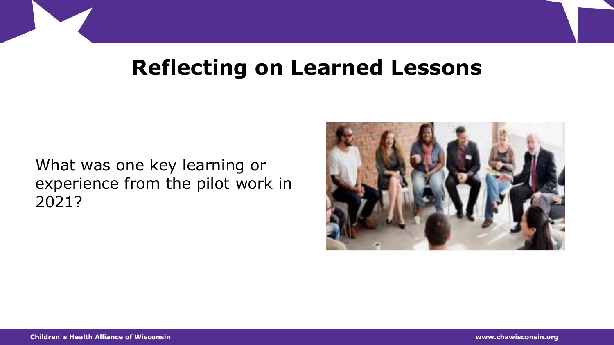### **Reflecting on Learned Lessons**

What was one key learning or experience from the pilot work in 2021?

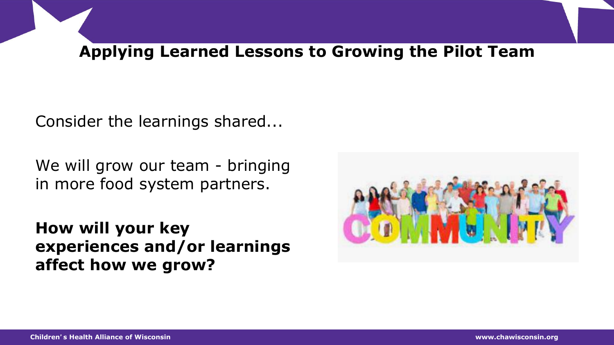#### **Applying Learned Lessons to Growing the Pilot Team**

Consider the learnings shared...

We will grow our team - bringing in more food system partners.

**How will your key experiences and/or learnings affect how we grow?** 

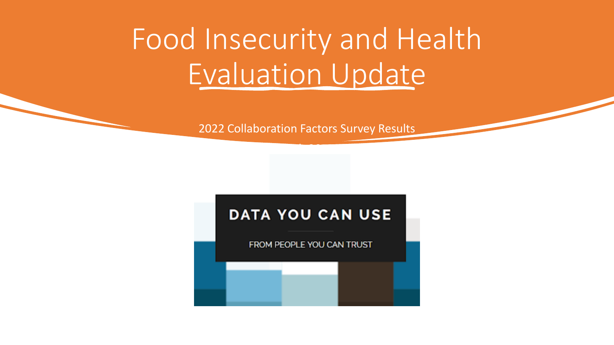# Food Insecurity and Health Evaluation Update

2022 Collaboration Factors Survey Results

• March 30, 2022

#### **DATA YOU CAN USE**

FROM PEOPLE YOU CAN TRUST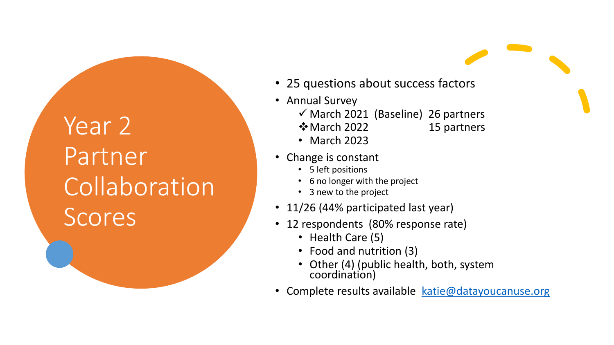## Year<sub>2</sub> Partner Collaboration **Scores**

- 25 questions about success factors
- Annual Survey
	- $\checkmark$  March 2021 (Baseline) 26 partners
	-
	- **V** March 2022 15 partners
	- March 2023
- Change is constant
	- 5 left positions
	- 6 no longer with the project
	- 3 new to the project
- 11/26 (44% participated last year)
- 12 respondents (80% response rate)
	- Health Care (5)
	- Food and nutrition (3)
	- Other (4) (public health, both, system coordination)
- Complete results available [katie@datayoucanuse.org](mailto:katie@datayoucanuse.org)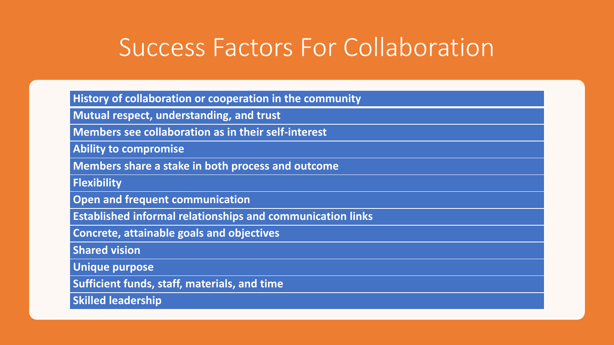## Success Factors For Collaboration

**History of collaboration or cooperation in the community**

**Mutual respect, understanding, and trust**

**Members see collaboration as in their self-interest**

**Ability to compromise**

**Members share a stake in both process and outcome**

**Flexibility**

**Open and frequent communication**

**Established informal relationships and communication links** 

**Concrete, attainable goals and objectives**

**Shared vision** 

**Unique purpose** 

**Sufficient funds, staff, materials, and time**

**Skilled leadership**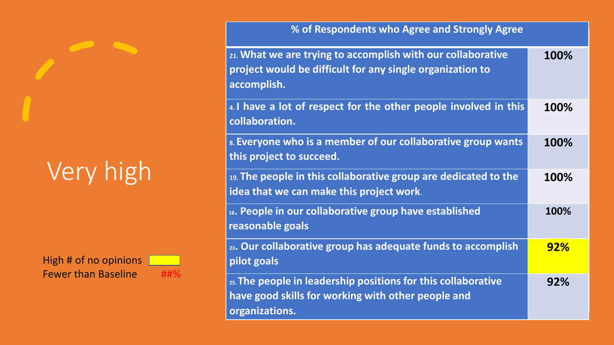# Very high

High # of no opinions Fewer than Baseline ##%

**% of Respondents who Agree and Strongly Agree**

| 21. What we are trying to accomplish with our collaborative<br>project would be difficult for any single organization to<br>accomplish. | 100%       |
|-----------------------------------------------------------------------------------------------------------------------------------------|------------|
| 4. I have a lot of respect for the other people involved in this<br>collaboration.                                                      | 100%       |
| 8. Everyone who is a member of our collaborative group wants<br>this project to succeed.                                                | 100%       |
| 19. The people in this collaborative group are dedicated to the<br>idea that we can make this project work.                             | 100%       |
| 18. People in our collaborative group have established<br>reasonable goals                                                              | 100%       |
| 23. Our collaborative group has adequate funds to accomplish<br>pilot goals                                                             | <b>92%</b> |
| 25. The people in leadership positions for this collaborative<br>have good skills for working with other people and<br>organizations.   | 92%        |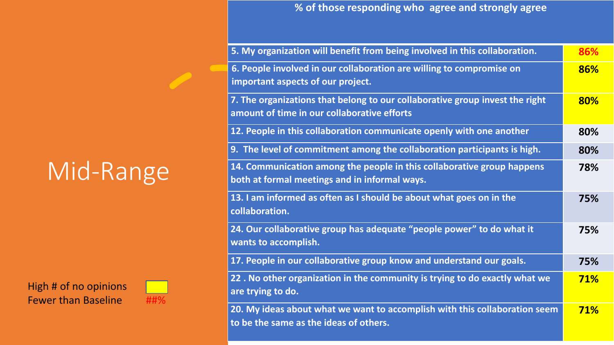## Mid-Range

High # of no opinions Fewer than Baseline ##%



| $\frac{1}{2}$ % of those responding who agree and strongly agree |  |
|------------------------------------------------------------------|--|
|                                                                  |  |

| 5. My organization will benefit from being involved in this collaboration.                                                  | 86%        |
|-----------------------------------------------------------------------------------------------------------------------------|------------|
| 6. People involved in our collaboration are willing to compromise on<br>important aspects of our project.                   | 86%        |
| 7. The organizations that belong to our collaborative group invest the right<br>amount of time in our collaborative efforts | 80%        |
| 12. People in this collaboration communicate openly with one another                                                        | 80%        |
| 9. The level of commitment among the collaboration participants is high.                                                    | 80%        |
| 14. Communication among the people in this collaborative group happens<br>both at formal meetings and in informal ways.     | 78%        |
| 13. I am informed as often as I should be about what goes on in the<br>collaboration.                                       | 75%        |
| 24. Our collaborative group has adequate "people power" to do what it<br>wants to accomplish.                               | 75%        |
| 17. People in our collaborative group know and understand our goals.                                                        | 75%        |
| 22. No other organization in the community is trying to do exactly what we<br>are trying to do.                             | <b>71%</b> |
| 20. My ideas about what we want to accomplish with this collaboration seem<br>to be the same as the ideas of others.        | <b>71%</b> |